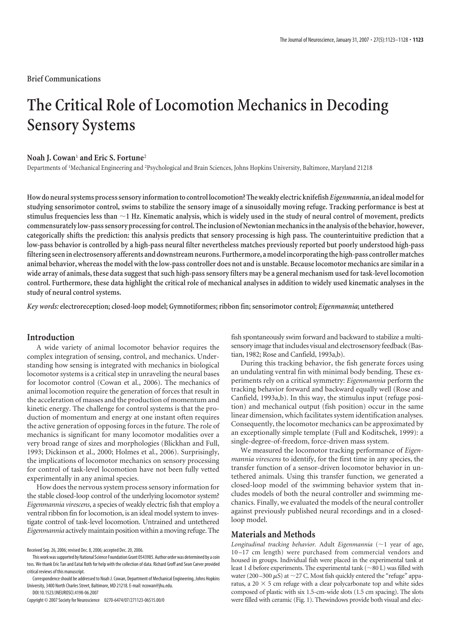**Brief Communications**

# **The Critical Role of Locomotion Mechanics in Decoding Sensory Systems**

## **Noah J. Cowan**<sup>1</sup> **and Eric S. Fortune**<sup>2</sup>

Departments of <sup>1</sup>Mechanical Engineering and <sup>2</sup>Psychological and Brain Sciences, Johns Hopkins University, Baltimore, Maryland 21218

**Howdoneuralsystems processsensory informationto control locomotion?Theweakly electric knifefish***Eigenmannia***, anidealmodelfor** studying sensorimotor control, swims to stabilize the sensory image of a sinusoidally moving refuge. Tracking performance is best at stimulus frequencies less than  $\sim$  1 Hz. Kinematic analysis, which is widely used in the study of neural control of movement, predicts **commensurately low-passsensory processing forcontrol.The inclusionofNewtonianmechanicsinthe analysis ofthe behavior, however,** categorically shifts the prediction: this analysis predicts that sensory processing is high pass. The counterintuitive prediction that a low-pass behavior is controlled by a high-pass neural filter nevertheless matches previously reported but poorly understood high-pass **filtering seeninelectrosensory afferents anddownstreamneurons. Furthermore, amodelincorporating thehigh-passcontrollermatches** animal behavior, whereas the model with the low-pass controller does not and is unstable. Because locomotor mechanics are similar in a wide array of animals, these data suggest that such high-pass sensory filters may be a general mechanism used for task-level locomotion control. Furthermore, these data highlight the critical role of mechanical analyses in addition to widely used kinematic analyses in the **study of neuralcontrol systems.**

*Key words:* **electroreception;closed-loop model; Gymnotiformes; ribbon fin; sensorimotorcontrol;** *Eigenmannia***; untethered**

# **Introduction**

A wide variety of animal locomotor behavior requires the complex integration of sensing, control, and mechanics. Understanding how sensing is integrated with mechanics in biological locomotor systems is a critical step in unraveling the neural bases for locomotor control (Cowan et al., 2006). The mechanics of animal locomotion require the generation of forces that result in the acceleration of masses and the production of momentum and kinetic energy. The challenge for control systems is that the production of momentum and energy at one instant often requires the active generation of opposing forces in the future. The role of mechanics is significant for many locomotor modalities over a very broad range of sizes and morphologies (Blickhan and Full, 1993; Dickinson et al., 2000; Holmes et al., 2006). Surprisingly, the implications of locomotor mechanics on sensory processing for control of task-level locomotion have not been fully vetted experimentally in any animal species.

How does the nervous system process sensory information for the stable closed-loop control of the underlying locomotor system? *Eigenmannia virescens*, a species of weakly electric fish that employ a ventral ribbon fin for locomotion, is an ideal model system to investigate control of task-level locomotion. Untrained and untethered *Eigenmannia* actively maintain position within a moving refuge. The

This work was supported by National Science Foundation Grant 0543985. Author order was determined by a coin toss. We thank Eric Tan and Eatai Roth for help with the collection of data. Richard Groff and Sean Carver provided critical reviews of this manuscript.

DOI:10.1523/JNEUROSCI.4198-06.2007

Copyright©2007Societyfor Neuroscience 0270-6474/07/271123-06\$15.00/0

fish spontaneously swim forward and backward to stabilize a multisensory image that includes visual and electrosensory feedback (Bastian, 1982; Rose and Canfield, 1993a,b).

During this tracking behavior, the fish generate forces using an undulating ventral fin with minimal body bending. These experiments rely on a critical symmetry: *Eigenmannia* perform the tracking behavior forward and backward equally well (Rose and Canfield, 1993a,b). In this way, the stimulus input (refuge position) and mechanical output (fish position) occur in the same linear dimension, which facilitates system identification analyses. Consequently, the locomotor mechanics can be approximated by an exceptionally simple template (Full and Koditschek, 1999): a single-degree-of-freedom, force-driven mass system.

We measured the locomotor tracking performance of *Eigenmannia virescens* to identify, for the first time in any species, the transfer function of a sensor-driven locomotor behavior in untethered animals. Using this transfer function, we generated a closed-loop model of the swimming behavior system that includes models of both the neural controller and swimming mechanics. Finally, we evaluated the models of the neural controller against previously published neural recordings and in a closedloop model.

# **Materials and Methods**

*Longitudinal tracking behavior.* Adult *Eigenmannia* (~1 year of age, 10 –17 cm length) were purchased from commercial vendors and housed in groups. Individual fish were placed in the experimental tank at least 1 d before experiments. The experimental tank ( $\sim$ 80 L) was filled with water (200–300  $\mu$ S) at ~27 C. Most fish quickly entered the "refuge" apparatus, a  $20 \times 5$  cm refuge with a clear polycarbonate top and white sides composed of plastic with six 1.5-cm-wide slots (1.5 cm spacing). The slots were filled with ceramic (Fig. 1). Thewindows provide both visual and elec-

Received Sep. 26, 2006; revised Dec. 8, 2006; accepted Dec. 20, 2006.

Correspondence should be addressed to Noah J. Cowan, Department of Mechanical Engineering, Johns Hopkins University, 3400 North Charles Street, Baltimore, MD 21218. E-mail: ncowan@ihu.edu.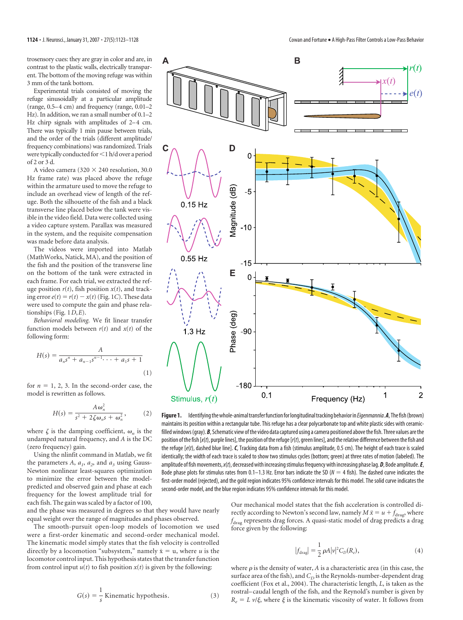trosensory cues: they are gray in color and are, in contrast to the plastic walls, electrically transparent. The bottom of the moving refuge was within 3 mm of the tank bottom.

Experimental trials consisted of moving the refuge sinusoidally at a particular amplitude (range, 0.5–4 cm) and frequency (range, 0.01–2 Hz). In addition, we ran a small number of 0.1-2 Hz chirp signals with amplitudes of 2-4 cm. There was typically 1 min pause between trials, and the order of the trials (different amplitude/ frequency combinations) was randomized. Trials were typically conducted for <1 h/d over a period of  $2$  or  $3$  d.

A video camera (320  $\times$  240 resolution, 30.0 Hz frame rate) was placed above the refuge within the armature used to move the refuge to include an overhead view of length of the refuge. Both the silhouette of the fish and a black transverse line placed below the tank were visible in the video field. Data were collected using a video capture system. Parallax was measured in the system, and the requisite compensation was made before data analysis.

The videos were imported into Matlab (MathWorks, Natick, MA), and the position of the fish and the position of the transverse line on the bottom of the tank were extracted in each frame. For each trial, we extracted the refuge position  $r(t)$ , fish position  $x(t)$ , and tracking error  $e(t) = r(t) - x(t)$  (Fig. 1C). These data were used to compute the gain and phase relationships (Fig.  $1D, E$ ).

Behavioral modeling. We fit linear transfer function models between  $r(t)$  and  $x(t)$  of the following form:

$$
H(s) = \frac{A}{a_n s^n + a_{n-1} s^{n-1} \cdots + a_1 s + 1}
$$
\n(1)

for  $n = 1, 2, 3$ . In the second-order case, the model is rewritten as follows.

$$
H(s) = \frac{A\omega_n^2}{s^2 + 2\zeta\omega_n s + \omega_n^2},\qquad(2)
$$

where  $\zeta$  is the damping coefficient,  $\omega_n$  is the undamped natural frequency, and  $A$  is the DC (zero frequency) gain.

Using the nlinfit command in Matlab, we fit the parameters A,  $a_1$ ,  $a_2$ , and  $a_3$  using Gauss-Newton nonlinear least-squares optimization to minimize the error between the modelpredicted and observed gain and phase at each frequency for the lowest amplitude trial for each fish. The gain was scaled by a factor of 100,

and the phase was measured in degrees so that they would have nearly equal weight over the range of magnitudes and phases observed.

The smooth-pursuit open-loop models of locomotion we used were a first-order kinematic and second-order mechanical model. The kinematic model simply states that the fish velocity is controlled directly by a locomotion "subsystem," namely  $\dot{x} = u$ , where *u* is the locomotor control input. This hypothesis states that the transfer function from control input  $u(t)$  to fish position  $x(t)$  is given by the following:

$$
G(s) = \frac{1}{s}
$$
 Kinematic hypothesis. (3)



Figure 1. Identifying the whole-animal transfer function for longitudinal tracking behavior in *Eigenmannia. A*, The fish (brown) maintains its position within a rectangular tube. This refuge has a clear polycarbonate top and white plastic sides with ceramicfilled windows (qray). B, Schematic view of the video data captured using a camera positioned above the fish. Three values are the position of the fish  $[x(t),$  purple lines], the position of the refuge  $[r(t),$  green lines], and the relative difference between the fish and the refuge [e(t), dashed blue line]. C, Tracking data from a fish (stimulus amplitude, 0.5 cm). The height of each trace is scaled identically; the width of each trace is scaled to show two stimulus cycles (bottom; green) at three rates of motion (labeled). The amplitude of fish movements,  $x(t)$ , decreased with increasing stimulus frequency with increasing phase lag.  $D$ , Bode amplitude.  $E$ , Bode phase plots for stimulus rates from 0.1–1.3 Hz. Error bars indicate the SD ( $N = 4$  fish). The dashed curve indicates the first-order model (rejected), and the gold region indicates 95% confidence intervals for this model. The solid curve indicates the second-order model, and the blue region indicates 95% confidence intervals for this model.

Our mechanical model states that the fish acceleration is controlled directly according to Newton's second law, namely  $M\ddot{x} = u + f_{\text{drag}}$ , where  $f_{\text{drag}}$  represents drag forces. A quasi-static model of drag predicts a drag force given by the following:

$$
|f_{\text{drag}}| = \frac{1}{2} \rho A |\nu|^2 C_D(R_e), \qquad (4)
$$

where  $\rho$  is the density of water,  $A$  is a characteristic area (in this case, the surface area of the fish), and  $C_D$  is the Reynolds-number-dependent drag coefficient (Fox et al., 2004). The characteristic length, L, is taken as the rostral-caudal length of the fish, and the Reynold's number is given by  $R_e = L \nu/\xi$ , where  $\xi$  is the kinematic viscosity of water. It follows from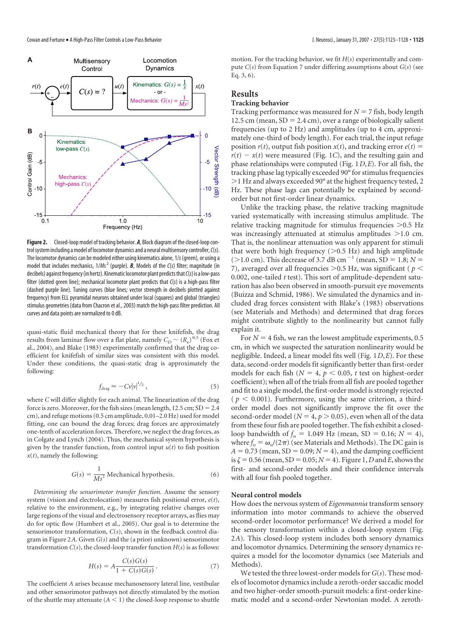

**Figure 2.** Closed-loop model of tracking behavior. *A*, Block diagram of the closed-loop control system including a model of locomotor dynamics and a neural multisensory controller,  $C(s)$ . The locomotor dynamics can be modeled either using kinematics alone, 1/s (green), or using a model that includes mechanics,  $1/Ms^2$  (purple). **B**, Models of the  $C(s)$  filter; magnitude (in decibels) against frequency (in hertz). Kinematic locomotor plant predicts that  $C(s)$  is a low-pass filter (dotted green line); mechanical locomotor plant predicts that  $C(s)$  is a high-pass filter (dashed purple line). Tuning curves (blue lines; vector strength in decibels plotted against frequency) from ELL pyramidal neurons obtained under local (squares) and global (triangles) stimulus geometries (data from Chacron et al., 2003) match the high-pass filter prediction. All curves and data points are normalized to 0 dB.

quasi-static fluid mechanical theory that for these knifefish, the drag results from laminar flow over a flat plate, namely  $C_D \sim (R_e)^{0.5}$  (Fox et al., 2004), and Blake (1983) experimentally confirmed that the drag coefficient for knifefish of similar sizes was consistent with this model. Under these conditions, the quasi-static drag is approximately the following:

$$
f_{\rm drag} \approx -C\nu |\nu|^{1/2},\tag{5}
$$

where *C* will differ slightly for each animal. The linearization of the drag force is zero. Moreover, for the fish sizes (mean length,  $12.5$  cm;  $SD = 2.4$ cm), and refuge motions(0.5 cm amplitude, 0.01–2.0 Hz) used for model fitting, one can bound the drag forces; drag forces are approximately one-tenth of acceleration forces. Therefore, we neglect the drag forces, as in Colgate and Lynch (2004). Thus, the mechanical system hypothesis is given by the transfer function, from control input  $u(t)$  to fish position  $x(t)$ , namely the following:

$$
G(s) = \frac{1}{Ms^2}
$$
 Mechanical hypothesis. (6)

*Determining the sensorimotor transfer function.* Assume the sensory system (vision and electrolocation) measures fish positional error, *e*(*t*), relative to the environment, e.g., by integrating relative changes over large regions of the visual and electrosensory receptor arrays, as flies may do for optic flow (Humbert et al., 2005). Our goal is to determine the sensorimotor transformation, *C*(*s*), shown in the feedback control diagram in Figure 2*A*. Given *G*(*s*) and the (a priori unknown) sensorimotor transformation  $C(s)$ , the closed-loop transfer function  $H(s)$  is as follows:

$$
H(s) = A \frac{C(s)G(s)}{1 + C(s)G(s)}.
$$
 (7)

The coefficient *A* arises because mechanosensory lateral line, vestibular and other sensorimotor pathways not directly stimulated by the motion of the shuttle may attenuate  $(A < 1)$  the closed-loop response to shuttle

motion. For the tracking behavior, we fit *H*(*s*) experimentally and compute *C*(*s*) from Equation 7 under differing assumptions about *G*(*s*) (see Eq. 3, 6).

# **Results**

# **Tracking behavior**

Tracking performance was measured for  $N = 7$  fish, body length 12.5 cm (mean,  $SD = 2.4$  cm), over a range of biologically salient frequencies (up to 2 Hz) and amplitudes (up to 4 cm, approximately one-third of body length). For each trial, the input refuge position  $r(t)$ , output fish position  $x(t)$ , and tracking error  $e(t)$  =  $r(t) - x(t)$  were measured (Fig. 1*C*), and the resulting gain and phase relationships were computed (Fig. 1*D*,*E*). For all fish, the tracking phase lag typically exceeded 90° for stimulus frequencies )1 Hz and always exceeded 90° at the highest frequency tested, 2 Hz. These phase lags can potentially be explained by secondorder but not first-order linear dynamics.

Unlike the tracking phase, the relative tracking magnitude varied systematically with increasing stimulus amplitude. The relative tracking magnitude for stimulus frequencies  $>0.5$  Hz was increasingly attenuated at stimulus amplitudes  $>1.0$  cm. That is, the nonlinear attenuation was only apparent for stimuli that were both high frequency  $(>0.5$  Hz) and high amplitude  $(>1.0 \text{ cm})$ . This decrease of 3.7 dB cm<sup>-1</sup> (mean, SD = 1.8; *N* = 7), averaged over all frequencies  $> 0.5$  Hz, was significant ( $p <$ 0.002, one-tailed *t* test). This sort of amplitude-dependent saturation has also been observed in smooth-pursuit eye movements (Buizza and Schmid, 1986). We simulated the dynamics and included drag forces consistent with Blake's (1983) observations (see Materials and Methods) and determined that drag forces might contribute slightly to the nonlinearity but cannot fully explain it.

For  $N = 4$  fish, we ran the lowest amplitude experiments, 0.5 cm, in which we suspected the saturation nonlinearity would be negligible. Indeed, a linear model fits well (Fig. 1*D*,*E*). For these data, second-order models fit significantly better than first-order models for each fish ( $N = 4$ ,  $p < 0.05$ ,  $t$  test on highest-order coefficient); when all of the trials from all fish are pooled together and fit to a single model, the first-order model is strongly rejected  $(p < 0.001)$ . Furthermore, using the same criterion, a thirdorder model does not significantly improve the fit over the second-order model ( $N = 4$ ,  $p > 0.05$ ), even when all of the data from these four fish are pooled together. The fish exhibit a closedloop bandwidth of  $f_n = 1.049$  Hz (mean, SD = 0.16;  $N = 4$ ), where  $f_n = \omega_n/(2\pi)$  (see Materials and Methods). The DC gain is  $A = 0.73$  (mean, SD = 0.09;  $N = 4$ ), and the damping coefficient is  $\zeta = 0.56$  (mean, SD = 0.05;  $N = 4$ ). Figure 1, *D* and *E*, shows the first- and second-order models and their confidence intervals with all four fish pooled together.

#### **Neural control models**

How does the nervous system of *Eigenmannia* transform sensory information into motor commands to achieve the observed second-order locomotor performance? We derived a model for the sensory transformation within a closed-loop system (Fig. 2*A*). This closed-loop system includes both sensory dynamics and locomotor dynamics. Determining the sensory dynamics requires a model for the locomotor dynamics (see Materials and Methods).

We tested the three lowest-order models for  $G(s)$ . These models of locomotor dynamics include a zeroth-order saccadic model and two higher-order smooth-pursuit models: a first-order kinematic model and a second-order Newtonian model. A zeroth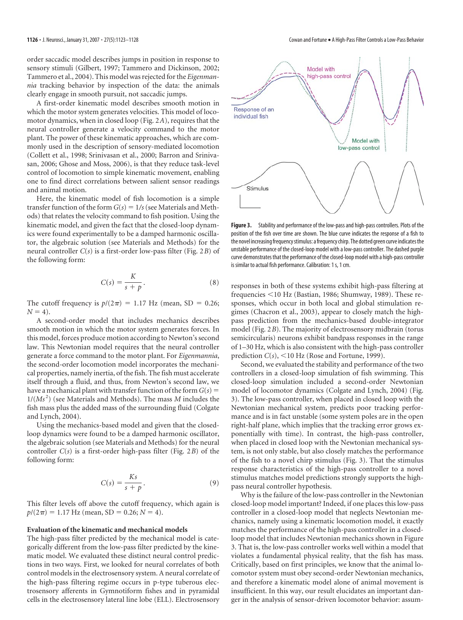order saccadic model describes jumps in position in response to sensory stimuli (Gilbert, 1997; Tammero and Dickinson, 2002; Tammero et al., 2004). This model was rejected for the *Eigenmannia* tracking behavior by inspection of the data: the animals clearly engage in smooth pursuit, not saccadic jumps.

A first-order kinematic model describes smooth motion in which the motor system generates velocities. This model of locomotor dynamics, when in closed loop (Fig. 2*A*), requires that the neural controller generate a velocity command to the motor plant. The power of these kinematic approaches, which are commonly used in the description of sensory-mediated locomotion (Collett et al., 1998; Srinivasan et al., 2000; Barron and Srinivasan, 2006; Ghose and Moss, 2006), is that they reduce task-level control of locomotion to simple kinematic movement, enabling one to find direct correlations between salient sensor readings and animal motion.

Here, the kinematic model of fish locomotion is a simple transfer function of the form  $G(s) = 1/s$  (see Materials and Methods) that relates the velocity command to fish position. Using the kinematic model, and given the fact that the closed-loop dynamics were found experimentally to be a damped harmonic oscillator, the algebraic solution (see Materials and Methods) for the neural controller *C*(*s*) is a first-order low-pass filter (Fig. 2*B*) of the following form:

$$
C(s) = \frac{K}{s+p}.
$$
 (8)

The cutoff frequency is  $p/(2\pi) = 1.17$  Hz (mean, SD = 0.26;  $N = 4$ ).

A second-order model that includes mechanics describes smooth motion in which the motor system generates forces. In this model, forces produce motion according to Newton's second law. This Newtonian model requires that the neural controller generate a force command to the motor plant. For *Eigenmannia*, the second-order locomotion model incorporates the mechanical properties, namely inertia, of the fish. The fish must accelerate itself through a fluid, and thus, from Newton's second law, we have a mechanical plant with transfer function of the form  $G(s)$  = 1/( $Ms^2$ ) (see Materials and Methods). The mass *M* includes the fish mass plus the added mass of the surrounding fluid (Colgate and Lynch, 2004).

Using the mechanics-based model and given that the closedloop dynamics were found to be a damped harmonic oscillator, the algebraic solution (see Materials and Methods) for the neural controller *C*(*s*) is a first-order high-pass filter (Fig. 2*B*) of the following form:

$$
C(s) = \frac{Ks}{s+p}.
$$
 (9)

This filter levels off above the cutoff frequency, which again is  $p/(2\pi) = 1.17$  Hz (mean, SD = 0.26; *N* = 4).

## **Evaluation of the kinematic and mechanical models**

The high-pass filter predicted by the mechanical model is categorically different from the low-pass filter predicted by the kinematic model. We evaluated these distinct neural control predictions in two ways. First, we looked for neural correlates of both control models in the electrosensory system. A neural correlate of the high-pass filtering regime occurs in p-type tuberous electrosensory afferents in Gymnotiform fishes and in pyramidal cells in the electrosensory lateral line lobe (ELL). Electrosensory



**Figure 3.** Stability and performance of the low-pass and high-pass controllers. Plots of the position of the fish over time are shown. The blue curve indicates the response of a fish to the novel increasing frequency stimulus: a frequency chirp. The dotted green curve indicates the unstable performance of the closed-loop model with a low-pass controller. The dashed purple curve demonstrates that the performance of the closed-loop model with a high-pass controller is similar to actual fish performance. Calibration: 1 s, 1 cm.

responses in both of these systems exhibit high-pass filtering at frequencies  $<$ 10 Hz (Bastian, 1986; Shumway, 1989). These responses, which occur in both local and global stimulation regimes (Chacron et al., 2003), appear to closely match the highpass prediction from the mechanics-based double-integrator model (Fig. 2*B*). The majority of electrosensory midbrain (torus semicircularis) neurons exhibit bandpass responses in the range of 1–30 Hz, which is also consistent with the high-pass controller prediction  $C(s)$ ,  $\leq 10$  Hz (Rose and Fortune, 1999).

Second, we evaluated the stability and performance of the two controllers in a closed-loop simulation of fish swimming. This closed-loop simulation included a second-order Newtonian model of locomotor dynamics (Colgate and Lynch, 2004) (Fig. 3). The low-pass controller, when placed in closed loop with the Newtonian mechanical system, predicts poor tracking performance and is in fact unstable (some system poles are in the open right-half plane, which implies that the tracking error grows exponentially with time). In contrast, the high-pass controller, when placed in closed loop with the Newtonian mechanical system, is not only stable, but also closely matches the performance of the fish to a novel chirp stimulus (Fig. 3). That the stimulus response characteristics of the high-pass controller to a novel stimulus matches model predictions strongly supports the highpass neural controller hypothesis.

Why is the failure of the low-pass controller in the Newtonian closed-loop model important? Indeed, if one places this low-pass controller in a closed-loop model that neglects Newtonian mechanics, namely using a kinematic locomotion model, it exactly matches the performance of the high-pass controller in a closedloop model that includes Newtonian mechanics shown in Figure 3. That is, the low-pass controller works well within a model that violates a fundamental physical reality, that the fish has mass. Critically, based on first principles, we know that the animal locomotor system must obey second-order Newtonian mechanics, and therefore a kinematic model alone of animal movement is insufficient. In this way, our result elucidates an important danger in the analysis of sensor-driven locomotor behavior: assum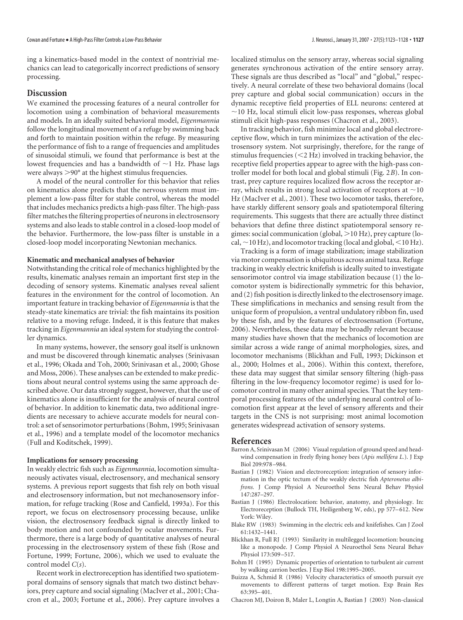ing a kinematics-based model in the context of nontrivial mechanics can lead to categorically incorrect predictions of sensory processing.

## **Discussion**

We examined the processing features of a neural controller for locomotion using a combination of behavioral measurements and models. In an ideally suited behavioral model, *Eigenmannia* follow the longitudinal movement of a refuge by swimming back and forth to maintain position within the refuge. By measuring the performance of fish to a range of frequencies and amplitudes of sinusoidal stimuli, we found that performance is best at the lowest frequencies and has a bandwidth of  $\sim$ 1 Hz. Phase lags were always  $>90^\circ$  at the highest stimulus frequencies.

A model of the neural controller for this behavior that relies on kinematics alone predicts that the nervous system must implement a low-pass filter for stable control, whereas the model that includes mechanics predicts a high-pass filter. The high-pass filter matches the filtering properties of neurons in electrosensory systems and also leads to stable control in a closed-loop model of the behavior. Furthermore, the low-pass filter is unstable in a closed-loop model incorporating Newtonian mechanics.

#### **Kinematic and mechanical analyses of behavior**

Notwithstanding the critical role of mechanics highlighted by the results, kinematic analyses remain an important first step in the decoding of sensory systems. Kinematic analyses reveal salient features in the environment for the control of locomotion. An important feature in tracking behavior of *Eigenmannia* is that the steady-state kinematics are trivial: the fish maintains its position relative to a moving refuge. Indeed, it is this feature that makes tracking in *Eigenmannia* an ideal system for studying the controller dynamics.

In many systems, however, the sensory goal itself is unknown and must be discovered through kinematic analyses (Srinivasan et al., 1996; Okada and Toh, 2000; Srinivasan et al., 2000; Ghose and Moss, 2006). These analyses can be extended to make predictions about neural control systems using the same approach described above. Our data strongly suggest, however, that the use of kinematics alone is insufficient for the analysis of neural control of behavior. In addition to kinematic data, two additional ingredients are necessary to achieve accurate models for neural control: a set of sensorimotor perturbations (Bohm, 1995; Srinivasan et al., 1996) and a template model of the locomotor mechanics (Full and Koditschek, 1999).

#### **Implications for sensory processing**

In weakly electric fish such as *Eigenmannia*, locomotion simultaneously activates visual, electrosensory, and mechanical sensory systems. A previous report suggests that fish rely on both visual and electrosensory information, but not mechanosensory information, for refuge tracking (Rose and Canfield, 1993a). For this report, we focus on electrosensory processing because, unlike vision, the electrosensory feedback signal is directly linked to body motion and not confounded by ocular movements. Furthermore, there is a large body of quantitative analyses of neural processing in the electrosensory system of these fish (Rose and Fortune, 1999; Fortune, 2006), which we used to evaluate the control model *C*(*s*).

Recent work in electroreception has identified two spatiotemporal domains of sensory signals that match two distinct behaviors, prey capture and social signaling (MacIver et al., 2001; Chacron et al., 2003; Fortune et al., 2006). Prey capture involves a localized stimulus on the sensory array, whereas social signaling generates synchronous activation of the entire sensory array. These signals are thus described as "local" and "global," respectively. A neural correlate of these two behavioral domains (local prey capture and global social communication) occurs in the dynamic receptive field properties of ELL neurons: centered at  $\sim$ 10 Hz, local stimuli elicit low-pass responses, whereas global stimuli elicit high-pass responses (Chacron et al., 2003).

In tracking behavior, fish minimize local and global electroreceptive flow, which in turn minimizes the activation of the electrosensory system. Not surprisingly, therefore, for the range of stimulus frequencies  $(< 2 Hz)$  involved in tracking behavior, the receptive field properties appear to agree with the high-pass controller model for both local and global stimuli (Fig. 2*B*). In contrast, prey capture requires localized flow across the receptor array, which results in strong local activation of receptors at  $\sim$  10 Hz (MacIver et al., 2001). These two locomotor tasks, therefore, have starkly different sensory goals and spatiotemporal filtering requirements. This suggests that there are actually three distinct behaviors that define three distinct spatiotemporal sensory regimes: social communication (global,  $>$ 10 Hz), prey capture (local,  $\sim$  10 Hz), and locomotor tracking (local and global,  $\leq$  10 Hz).

Tracking is a form of image stabilization; image stabilization via motor compensation is ubiquitous across animal taxa. Refuge tracking in weakly electric knifefish is ideally suited to investigate sensorimotor control via image stabilization because (1) the locomotor system is bidirectionally symmetric for this behavior, and (2) fish position is directly linked to the electrosensory image. These simplifications in mechanics and sensing result from the unique form of propulsion, a ventral undulatory ribbon fin, used by these fish, and by the features of electrosensation (Fortune, 2006). Nevertheless, these data may be broadly relevant because many studies have shown that the mechanics of locomotion are similar across a wide range of animal morphologies, sizes, and locomotor mechanisms (Blickhan and Full, 1993; Dickinson et al., 2000; Holmes et al., 2006). Within this context, therefore, these data may suggest that similar sensory filtering (high-pass filtering in the low-frequency locomotor regime) is used for locomotor control in many other animal species. That the key temporal processing features of the underlying neural control of locomotion first appear at the level of sensory afferents and their targets in the CNS is not surprising: most animal locomotion generates widespread activation of sensory systems.

#### **References**

- Barron A, Srinivasan M (2006) Visual regulation of ground speed and headwind compensation in freely flying honey bees (*Apis mellifera L.*). J Exp Biol 209:978–984.
- Bastian J (1982) Vision and electroreception: integration of sensory information in the optic tectum of the weakly electric fish *Apteronotus albifrons.* J Comp Physiol A Neuroethol Sens Neural Behav Physiol 147:287–297.
- Bastian J (1986) Electrolocation: behavior, anatomy, and physiology. In: Electroreception (Bullock TH, Heiligenberg W, eds), pp 577–612. New York: Wiley.
- Blake RW (1983) Swimming in the electric eels and knifefishes. Can J Zool 61:1432–1441.
- Blickhan R, Full RJ (1993) Similarity in multilegged locomotion: bouncing like a monopode. J Comp Physiol A Neuroethol Sens Neural Behav Physiol 173:509–517.
- Bohm H (1995) Dynamic properties of orientation to turbulent air current by walking carrion beetles. J Exp Biol 198:1995–2005.
- Buizza A, Schmid R (1986) Velocity characteristics of smooth pursuit eye movements to different patterns of target motion. Exp Brain Res 63:395–401.
- Chacron MJ, Doiron B, Maler L, Longtin A, Bastian J (2003) Non-classical